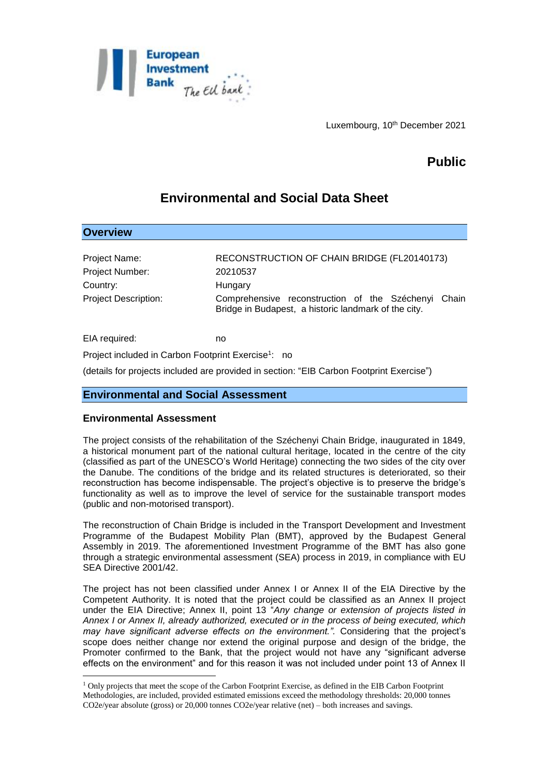

Luxembourg, 10<sup>th</sup> December 2021

# **Public**

## **Environmental and Social Data Sheet**

| Project Name:               | RECONSTRUCTION OF CHAIN BRIDGE (FL20140173)                                                                    |
|-----------------------------|----------------------------------------------------------------------------------------------------------------|
| Project Number:             | 20210537                                                                                                       |
| Country:                    | Hungary                                                                                                        |
| <b>Project Description:</b> | Comprehensive reconstruction of the Széchenyi<br>Chain<br>Bridge in Budapest, a historic landmark of the city. |

Project included in Carbon Footprint Exercise<sup>1</sup>: no

(details for projects included are provided in section: "EIB Carbon Footprint Exercise")

## **Environmental and Social Assessment**

#### **Environmental Assessment**

EIA required: http://www.facebook.com

**Overview**

1

The project consists of the rehabilitation of the Széchenyi Chain Bridge, inaugurated in 1849, a historical monument part of the national cultural heritage, located in the centre of the city (classified as part of the UNESCO's World Heritage) connecting the two sides of the city over the Danube. The conditions of the bridge and its related structures is deteriorated, so their reconstruction has become indispensable. The project's objective is to preserve the bridge's functionality as well as to improve the level of service for the sustainable transport modes (public and non-motorised transport).

The reconstruction of Chain Bridge is included in the Transport Development and Investment Programme of the Budapest Mobility Plan (BMT), approved by the Budapest General Assembly in 2019. The aforementioned Investment Programme of the BMT has also gone through a strategic environmental assessment (SEA) process in 2019, in compliance with EU SEA Directive 2001/42.

The project has not been classified under Annex I or Annex II of the EIA Directive by the Competent Authority. It is noted that the project could be classified as an Annex II project under the EIA Directive; Annex II, point 13 "*Any change or extension of projects listed in Annex I or Annex II, already authorized, executed or in the process of being executed, which may have significant adverse effects on the environment.".* Considering that the project's scope does neither change nor extend the original purpose and design of the bridge, the Promoter confirmed to the Bank, that the project would not have any "significant adverse effects on the environment" and for this reason it was not included under point 13 of Annex II

<sup>1</sup> Only projects that meet the scope of the Carbon Footprint Exercise, as defined in the EIB Carbon Footprint Methodologies, are included, provided estimated emissions exceed the methodology thresholds: 20,000 tonnes CO2e/year absolute (gross) or 20,000 tonnes CO2e/year relative (net) – both increases and savings.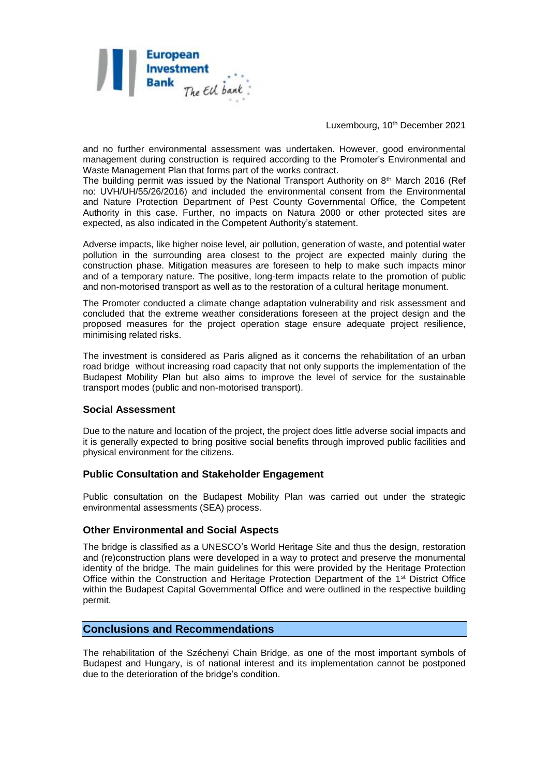

Luxembourg, 10<sup>th</sup> December 2021

and no further environmental assessment was undertaken. However, good environmental management during construction is required according to the Promoter's Environmental and Waste Management Plan that forms part of the works contract.

The building permit was issued by the National Transport Authority on  $8<sup>th</sup>$  March 2016 (Ref no: UVH/UH/55/26/2016) and included the environmental consent from the Environmental and Nature Protection Department of Pest County Governmental Office, the Competent Authority in this case. Further, no impacts on Natura 2000 or other protected sites are expected, as also indicated in the Competent Authority's statement.

Adverse impacts, like higher noise level, air pollution, generation of waste, and potential water pollution in the surrounding area closest to the project are expected mainly during the construction phase. Mitigation measures are foreseen to help to make such impacts minor and of a temporary nature. The positive, long-term impacts relate to the promotion of public and non-motorised transport as well as to the restoration of a cultural heritage monument.

The Promoter conducted a climate change adaptation vulnerability and risk assessment and concluded that the extreme weather considerations foreseen at the project design and the proposed measures for the project operation stage ensure adequate project resilience, minimising related risks.

The investment is considered as Paris aligned as it concerns the rehabilitation of an urban road bridge without increasing road capacity that not only supports the implementation of the Budapest Mobility Plan but also aims to improve the level of service for the sustainable transport modes (public and non-motorised transport).

## **Social Assessment**

Due to the nature and location of the project, the project does little adverse social impacts and it is generally expected to bring positive social benefits through improved public facilities and physical environment for the citizens.

#### **Public Consultation and Stakeholder Engagement**

Public consultation on the Budapest Mobility Plan was carried out under the strategic environmental assessments (SEA) process.

#### **Other Environmental and Social Aspects**

The bridge is classified as a UNESCO's World Heritage Site and thus the design, restoration and (re)construction plans were developed in a way to protect and preserve the monumental identity of the bridge. The main guidelines for this were provided by the Heritage Protection Office within the Construction and Heritage Protection Department of the 1<sup>st</sup> District Office within the Budapest Capital Governmental Office and were outlined in the respective building permit.

## **Conclusions and Recommendations**

The rehabilitation of the Széchenyi Chain Bridge, as one of the most important symbols of Budapest and Hungary, is of national interest and its implementation cannot be postponed due to the deterioration of the bridge's condition.